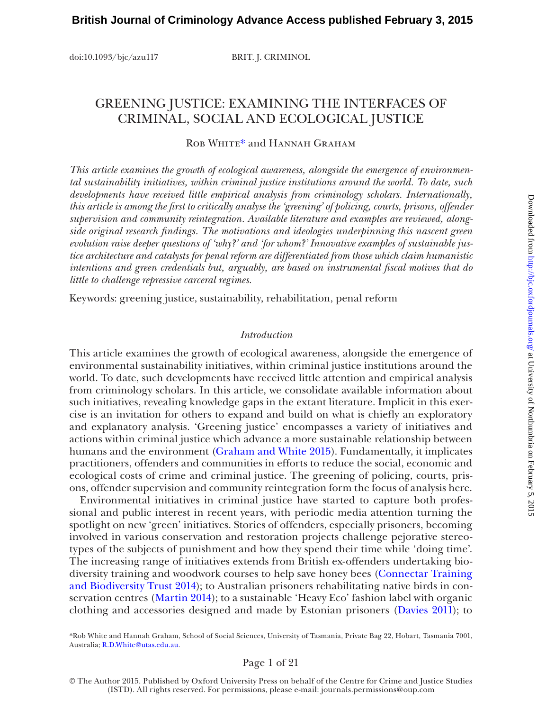doi:10.1093/bjc/azu117 BRIT. J. CRIMINOL

# Greening Justice: Examining the Interfaces of Criminal, Social and Ecological Justice

# ROB WHITE[\\*](#page-0-0) and HANNAH GRAHAM

*This article examines the growth of ecological awareness, alongside the emergence of environmental sustainability initiatives, within criminal justice institutions around the world. To date, such developments have received little empirical analysis from criminology scholars. Internationally, this article is among the first to critically analyse the 'greening' of policing, courts, prisons, offender supervision and community reintegration. Available literature and examples are reviewed, alongside original research findings. The motivations and ideologies underpinning this nascent green evolution raise deeper questions of 'why?' and 'for whom?' Innovative examples of sustainable justice architecture and catalysts for penal reform are differentiated from those which claim humanistic intentions and green credentials but, arguably, are based on instrumental fiscal motives that do little to challenge repressive carceral regimes.*

Keywords: greening justice, sustainability, rehabilitation, penal reform

### *Introduction*

This article examines the growth of ecological awareness, alongside the emergence of environmental sustainability initiatives, within criminal justice institutions around the world. To date, such developments have received little attention and empirical analysis from criminology scholars. In this article, we consolidate available information about such initiatives, revealing knowledge gaps in the extant literature. Implicit in this exercise is an invitation for others to expand and build on what is chiefly an exploratory and explanatory analysis. 'Greening justice' encompasses a variety of initiatives and actions within criminal justice which advance a more sustainable relationship between humans and the environment [\(Graham and White 2015\)](#page-18-0). Fundamentally, it implicates practitioners, offenders and communities in efforts to reduce the social, economic and ecological costs of crime and criminal justice. The greening of policing, courts, prisons, offender supervision and community reintegration form the focus of analysis here.

Environmental initiatives in criminal justice have started to capture both professional and public interest in recent years, with periodic media attention turning the spotlight on new 'green' initiatives. Stories of offenders, especially prisoners, becoming involved in various conservation and restoration projects challenge pejorative stereotypes of the subjects of punishment and how they spend their time while 'doing time'. The increasing range of initiatives extends from British ex-offenders undertaking biodiversity training and woodwork courses to help save honey bees [\(Connectar Training](#page-17-0)  [and Biodiversity Trust 2014](#page-17-0)); to Australian prisoners rehabilitating native birds in conservation centres [\(Martin 2014](#page-19-0)); to a sustainable 'Heavy Eco' fashion label with organic clothing and accessories designed and made by Estonian prisoners ([Davies 2011\)](#page-17-1); to

<span id="page-0-0"></span>\*Rob White and Hannah Graham, School of Social Sciences, University of Tasmania, Private Bag 22, Hobart, Tasmania 7001, Australia; [R.D.White@utas.edu.au](mailto:R.D.White@utas.edu.au?subject=).

### Page 1 of 21

© The Author 2015. Published by Oxford University Press on behalf of the Centre for Crime and Justice Studies (ISTD). All rights reserved. For permissions, please e-mail: journals.permissions@oup.com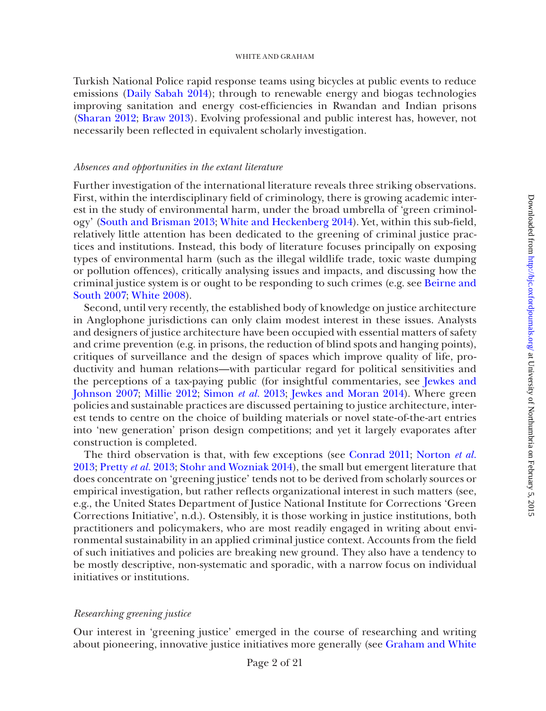Turkish National Police rapid response teams using bicycles at public events to reduce emissions [\(Daily Sabah 2014](#page-17-2)); through to renewable energy and biogas technologies improving sanitation and energy cost-efficiencies in Rwandan and Indian prisons [\(Sharan 2012;](#page-19-1) [Braw 2013](#page-16-0)). Evolving professional and public interest has, however, not necessarily been reflected in equivalent scholarly investigation.

# *Absences and opportunities in the extant literature*

Further investigation of the international literature reveals three striking observations. First, within the interdisciplinary field of criminology, there is growing academic interest in the study of environmental harm, under the broad umbrella of 'green criminology' [\(South and Brisman 2013;](#page-19-2) [White and Heckenberg 2014\)](#page-20-0). Yet, within this sub-field, relatively little attention has been dedicated to the greening of criminal justice practices and institutions. Instead, this body of literature focuses principally on exposing types of environmental harm (such as the illegal wildlife trade, toxic waste dumping or pollution offences), critically analysing issues and impacts, and discussing how the criminal justice system is or ought to be responding to such crimes (e.g. see [Beirne and](#page-16-1)  [South 2007;](#page-16-1) [White 2008\)](#page-20-1).

Second, until very recently, the established body of knowledge on justice architecture in Anglophone jurisdictions can only claim modest interest in these issues. Analysts and designers of justice architecture have been occupied with essential matters of safety and crime prevention (e.g. in prisons, the reduction of blind spots and hanging points), critiques of surveillance and the design of spaces which improve quality of life, productivity and human relations—with particular regard for political sensitivities and the perceptions of a tax-paying public (for insightful commentaries, see [Jewkes and](#page-18-1)  [Johnson 2007](#page-18-1); [Millie 2012;](#page-19-3) [Simon](#page-19-4) *et al.* 2013; [Jewkes and Moran 2014](#page-18-2)). Where green policies and sustainable practices are discussed pertaining to justice architecture, interest tends to centre on the choice of building materials or novel state-of-the-art entries into 'new generation' prison design competitions; and yet it largely evaporates after construction is completed.

The third observation is that, with few exceptions (see [Conrad 2011](#page-17-3); [Norton](#page-19-5) *et al.* [2013;](#page-19-5) [Pretty](#page-19-6) *et al.* 2013; [Stohr and Wozniak 2014\)](#page-19-7), the small but emergent literature that does concentrate on 'greening justice' tends not to be derived from scholarly sources or empirical investigation, but rather reflects organizational interest in such matters (see, e.g., the United States Department of Justice National Institute for Corrections 'Green Corrections Initiative', n.d.). Ostensibly, it is those working in justice institutions, both practitioners and policymakers, who are most readily engaged in writing about environmental sustainability in an applied criminal justice context. Accounts from the field of such initiatives and policies are breaking new ground. They also have a tendency to be mostly descriptive, non-systematic and sporadic, with a narrow focus on individual initiatives or institutions.

# *Researching greening justice*

Our interest in 'greening justice' emerged in the course of researching and writing about pioneering, innovative justice initiatives more generally (see [Graham and White](#page-18-3)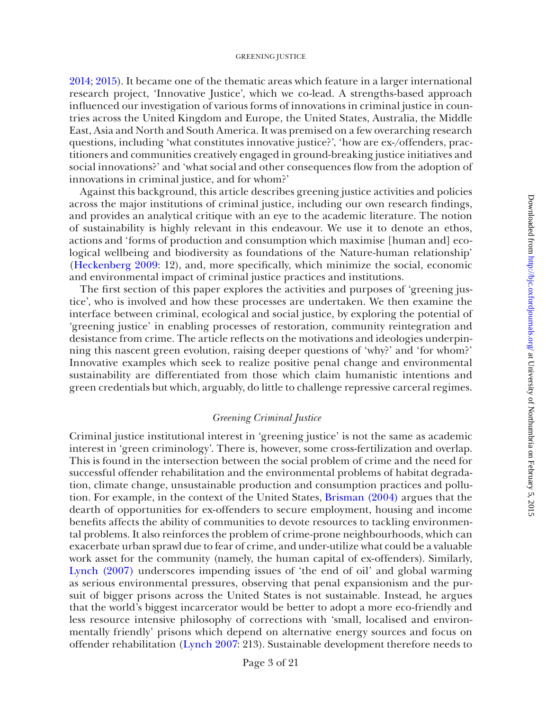[2014;](#page-18-3) [2015\)](#page-18-0). It became one of the thematic areas which feature in a larger international research project, 'Innovative Justice', which we co-lead. A strengths-based approach influenced our investigation of various forms of innovations in criminal justice in countries across the United Kingdom and Europe, the United States, Australia, the Middle East, Asia and North and South America. It was premised on a few overarching research questions, including 'what constitutes innovative justice?', 'how are ex-/offenders, practitioners and communities creatively engaged in ground-breaking justice initiatives and social innovations?' and 'what social and other consequences flow from the adoption of innovations in criminal justice, and for whom?'

Against this background, this article describes greening justice activities and policies across the major institutions of criminal justice, including our own research findings, and provides an analytical critique with an eye to the academic literature. The notion of sustainability is highly relevant in this endeavour. We use it to denote an ethos, actions and 'forms of production and consumption which maximise [human and] ecological wellbeing and biodiversity as foundations of the Nature-human relationship' ([Heckenberg 2009:](#page-18-4) 12), and, more specifically, which minimize the social, economic and environmental impact of criminal justice practices and institutions.

The first section of this paper explores the activities and purposes of 'greening justice', who is involved and how these processes are undertaken. We then examine the interface between criminal, ecological and social justice, by exploring the potential of 'greening justice' in enabling processes of restoration, community reintegration and desistance from crime. The article reflects on the motivations and ideologies underpinning this nascent green evolution, raising deeper questions of 'why?' and 'for whom?' Innovative examples which seek to realize positive penal change and environmental sustainability are differentiated from those which claim humanistic intentions and green credentials but which, arguably, do little to challenge repressive carceral regimes.

# *Greening Criminal Justice*

Criminal justice institutional interest in 'greening justice' is not the same as academic interest in 'green criminology'. There is, however, some cross-fertilization and overlap. This is found in the intersection between the social problem of crime and the need for successful offender rehabilitation and the environmental problems of habitat degradation, climate change, unsustainable production and consumption practices and pollution. For example, in the context of the United States, [Brisman \(2004\)](#page-17-4) argues that the dearth of opportunities for ex-offenders to secure employment, housing and income benefits affects the ability of communities to devote resources to tackling environmental problems. It also reinforces the problem of crime-prone neighbourhoods, which can exacerbate urban sprawl due to fear of crime, and under-utilize what could be a valuable work asset for the community (namely, the human capital of ex-offenders). Similarly, [Lynch \(2007\)](#page-18-5) underscores impending issues of 'the end of oil' and global warming as serious environmental pressures, observing that penal expansionism and the pursuit of bigger prisons across the United States is not sustainable. Instead, he argues that the world's biggest incarcerator would be better to adopt a more eco-friendly and less resource intensive philosophy of corrections with 'small, localised and environmentally friendly' prisons which depend on alternative energy sources and focus on offender rehabilitation ([Lynch 2007:](#page-18-5) 213). Sustainable development therefore needs to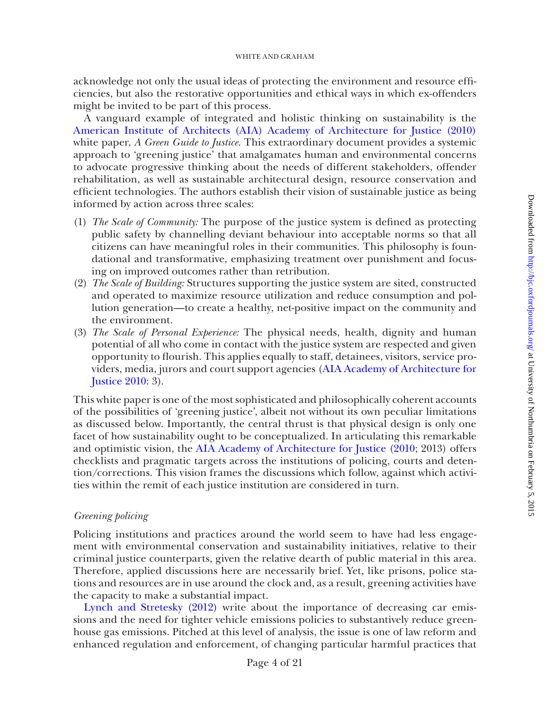acknowledge not only the usual ideas of protecting the environment and resource efficiencies, but also the restorative opportunities and ethical ways in which ex-offenders might be invited to be part of this process.

A vanguard example of integrated and holistic thinking on sustainability is the American Institute of Architects (AIA [\) Academy of Architecture for Justice \(2010\)](#page-16-2) white paper, *A Green Guide to Justice*. This extraordinary document provides a systemic approach to 'greening justice' that amalgamates human and environmental concerns to advocate progressive thinking about the needs of different stakeholders, offender rehabilitation, as well as sustainable architectural design, resource conservation and efficient technologies. The authors establish their vision of sustainable justice as being informed by action across three scales:

- (1) *The Scale of Community:* The purpose of the justice system is defined as protecting public safety by channelling deviant behaviour into acceptable norms so that all citizens can have meaningful roles in their communities. This philosophy is foundational and transformative, emphasizing treatment over punishment and focusing on improved outcomes rather than retribution.
- (2) *The Scale of Building:* Structures supporting the justice system are sited, constructed and operated to maximize resource utilization and reduce consumption and pollution generation—to create a healthy, net-positive impact on the community and the environment.
- (3) *The Scale of Personal Experience:* The physical needs, health, dignity and human potential of all who come in contact with the justice system are respected and given opportunity to flourish. This applies equally to staff, detainees, visitors, service providers, media, jurors and court support agencies (AIA [Academy of Architecture for](#page-16-2)  **[Justice 2010:](#page-16-2) 3).**

This white paper is one of the most sophisticated and philosophically coherent accounts of the possibilities of 'greening justice', albeit not without its own peculiar limitations as discussed below. Importantly, the central thrust is that physical design is only one facet of how sustainability ought to be conceptualized. In articulating this remarkable and optimistic vision, the AIA [Academy of Architecture for Justice \(2010](#page-16-2); 2013) offers checklists and pragmatic targets across the institutions of policing, courts and detention/corrections. This vision frames the discussions which follow, against which activities within the remit of each justice institution are considered in turn.

# *Greening policing*

Policing institutions and practices around the world seem to have had less engagement with environmental conservation and sustainability initiatives, relative to their criminal justice counterparts, given the relative dearth of public material in this area. Therefore, applied discussions here are necessarily brief. Yet, like prisons, police stations and resources are in use around the clock and, as a result, greening activities have the capacity to make a substantial impact.

[Lynch and Stretesky \(2012\)](#page-18-6) write about the importance of decreasing car emissions and the need for tighter vehicle emissions policies to substantively reduce greenhouse gas emissions. Pitched at this level of analysis, the issue is one of law reform and enhanced regulation and enforcement, of changing particular harmful practices that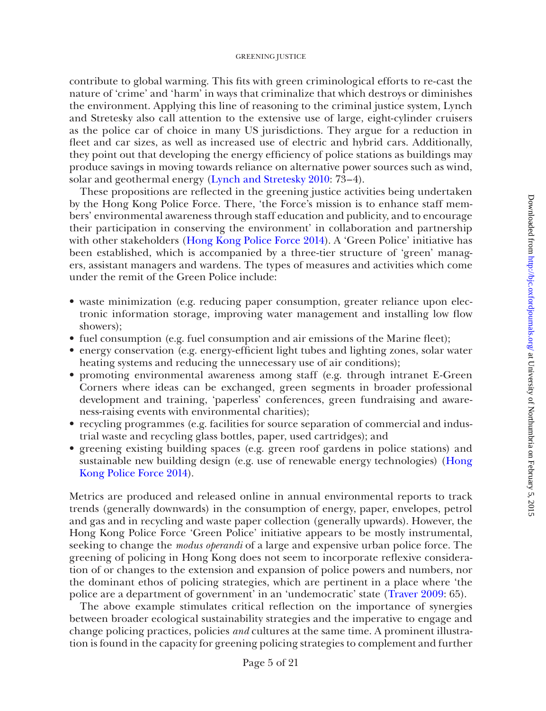contribute to global warming. This fits with green criminological efforts to re-cast the nature of 'crime' and 'harm' in ways that criminalize that which destroys or diminishes the environment. Applying this line of reasoning to the criminal justice system, Lynch and Stretesky also call attention to the extensive use of large, eight-cylinder cruisers as the police car of choice in many US jurisdictions. They argue for a reduction in fleet and car sizes, as well as increased use of electric and hybrid cars. Additionally, they point out that developing the energy efficiency of police stations as buildings may produce savings in moving towards reliance on alternative power sources such as wind, solar and geothermal energy ([Lynch and Stretesky 2010:](#page-18-7) 73–4).

These propositions are reflected in the greening justice activities being undertaken by the Hong Kong Police Force. There, 'the Force's mission is to enhance staff members' environmental awareness through staff education and publicity, and to encourage their participation in conserving the environment' in collaboration and partnership with other stakeholders [\(Hong Kong Police Force 2014](#page-18-8)). A 'Green Police' initiative has been established, which is accompanied by a three-tier structure of 'green' managers, assistant managers and wardens. The types of measures and activities which come under the remit of the Green Police include:

- waste minimization (e.g. reducing paper consumption, greater reliance upon electronic information storage, improving water management and installing low flow showers);
- fuel consumption (e.g. fuel consumption and air emissions of the Marine fleet);
- energy conservation (e.g. energy-efficient light tubes and lighting zones, solar water heating systems and reducing the unnecessary use of air conditions);
- promoting environmental awareness among staff (e.g. through intranet E-Green Corners where ideas can be exchanged, green segments in broader professional development and training, 'paperless' conferences, green fundraising and awareness-raising events with environmental charities);
- recycling programmes (e.g. facilities for source separation of commercial and industrial waste and recycling glass bottles, paper, used cartridges); and
- greening existing building spaces (e.g. green roof gardens in police stations) and sustainable new building design (e.g. use of renewable energy technologies) ([Hong](#page-18-8)  [Kong Police Force 2014\)](#page-18-8).

Metrics are produced and released online in annual environmental reports to track trends (generally downwards) in the consumption of energy, paper, envelopes, petrol and gas and in recycling and waste paper collection (generally upwards). However, the Hong Kong Police Force 'Green Police' initiative appears to be mostly instrumental, seeking to change the *modus operandi* of a large and expensive urban police force. The greening of policing in Hong Kong does not seem to incorporate reflexive consideration of or changes to the extension and expansion of police powers and numbers, nor the dominant ethos of policing strategies, which are pertinent in a place where 'the police are a department of government' in an 'undemocratic' state ([Traver 2009](#page-20-2): 65).

The above example stimulates critical reflection on the importance of synergies between broader ecological sustainability strategies and the imperative to engage and change policing practices, policies *and* cultures at the same time. A prominent illustration is found in the capacity for greening policing strategies to complement and further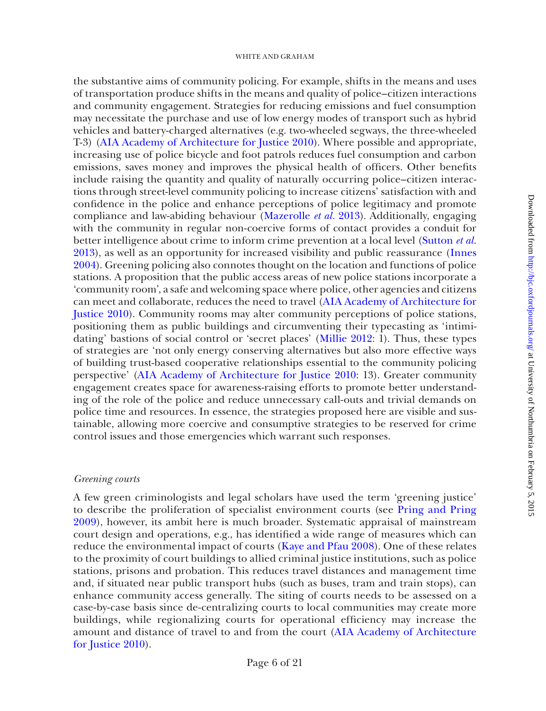the substantive aims of community policing. For example, shifts in the means and uses of transportation produce shifts in the means and quality of police–citizen interactions and community engagement. Strategies for reducing emissions and fuel consumption may necessitate the purchase and use of low energy modes of transport such as hybrid vehicles and battery-charged alternatives (e.g. two-wheeled segways, the three-wheeled T-3) (AIA [Academy of Architecture for Justice 2010](#page-16-2)). Where possible and appropriate, increasing use of police bicycle and foot patrols reduces fuel consumption and carbon emissions, saves money and improves the physical health of officers. Other benefits include raising the quantity and quality of naturally occurring police–citizen interactions through street-level community policing to increase citizens' satisfaction with and confidence in the police and enhance perceptions of police legitimacy and promote compliance and law-abiding behaviour [\(Mazerolle](#page-19-8) *et al.* 2013). Additionally, engaging with the community in regular non-coercive forms of contact provides a conduit for better intelligence about crime to inform crime prevention at a local level [\(Sutton](#page-20-3) *et al.* [2013\)](#page-20-3), as well as an opportunity for increased visibility and public reassurance [\(Innes](#page-18-9)  [2004\)](#page-18-9). Greening policing also connotes thought on the location and functions of police stations. A proposition that the public access areas of new police stations incorporate a 'community room', a safe and welcoming space where police, other agencies and citizens can meet and collaborate, reduces the need to travel (AIA [Academy of Architecture for](#page-16-2)  [Justice 2010\)](#page-16-2). Community rooms may alter community perceptions of police stations, positioning them as public buildings and circumventing their typecasting as 'intimidating' bastions of social control or 'secret places' ([Millie 2012](#page-19-3): 1). Thus, these types of strategies are 'not only energy conserving alternatives but also more effective ways of building trust-based cooperative relationships essential to the community policing perspective' (AIA [Academy of Architecture for Justice 2010:](#page-16-2) 13). Greater community engagement creates space for awareness-raising efforts to promote better understanding of the role of the police and reduce unnecessary call-outs and trivial demands on police time and resources. In essence, the strategies proposed here are visible and sustainable, allowing more coercive and consumptive strategies to be reserved for crime control issues and those emergencies which warrant such responses.

# *Greening courts*

A few green criminologists and legal scholars have used the term 'greening justice' to describe the proliferation of specialist environment courts (see [Pring and Pring](#page-19-9)  [2009](#page-19-9)), however, its ambit here is much broader. Systematic appraisal of mainstream court design and operations, e.g., has identified a wide range of measures which can reduce the environmental impact of courts [\(Kaye and Pfau 2008\)](#page-18-10). One of these relates to the proximity of court buildings to allied criminal justice institutions, such as police stations, prisons and probation. This reduces travel distances and management time and, if situated near public transport hubs (such as buses, tram and train stops), can enhance community access generally. The siting of courts needs to be assessed on a case-by-case basis since de-centralizing courts to local communities may create more buildings, while regionalizing courts for operational efficiency may increase the amount and distance of travel to and from the court (AIA [Academy of Architecture](#page-16-2)  [for Justice 2010](#page-16-2)).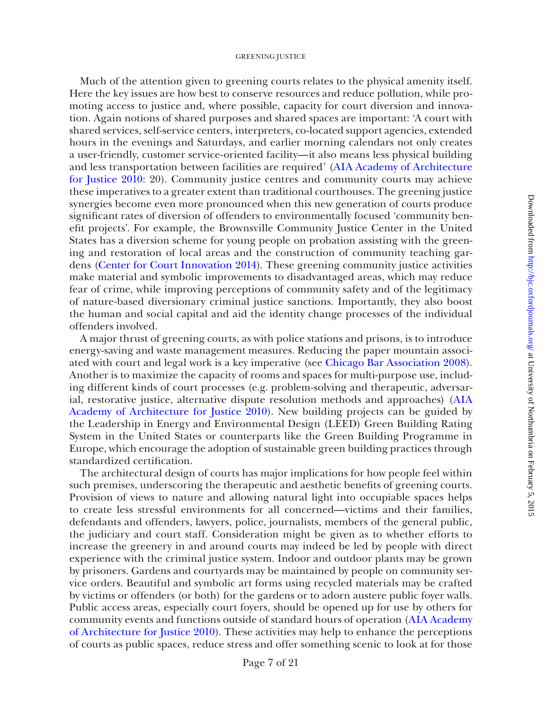Much of the attention given to greening courts relates to the physical amenity itself. Here the key issues are how best to conserve resources and reduce pollution, while promoting access to justice and, where possible, capacity for court diversion and innovation. Again notions of shared purposes and shared spaces are important: 'A court with shared services, self-service centers, interpreters, co-located support agencies, extended hours in the evenings and Saturdays, and earlier morning calendars not only creates a user-friendly, customer service-oriented facility—it also means less physical building and less transportation between facilities are required' (AIA [Academy of Architecture](#page-16-2)  [for Justice 2010](#page-16-2): 20). Community justice centres and community courts may achieve these imperatives to a greater extent than traditional courthouses. The greening justice synergies become even more pronounced when this new generation of courts produce significant rates of diversion of offenders to environmentally focused 'community benefit projects'. For example, the Brownsville Community Justice Center in the United States has a diversion scheme for young people on probation assisting with the greening and restoration of local areas and the construction of community teaching gardens [\(Center for Court Innovation 2014](#page-17-5)). These greening community justice activities make material and symbolic improvements to disadvantaged areas, which may reduce fear of crime, while improving perceptions of community safety and of the legitimacy of nature-based diversionary criminal justice sanctions. Importantly, they also boost the human and social capital and aid the identity change processes of the individual offenders involved.

A major thrust of greening courts, as with police stations and prisons, is to introduce energy-saving and waste management measures. Reducing the paper mountain associated with court and legal work is a key imperative (see [Chicago Bar Association 2008](#page-17-6)). Another is to maximize the capacity of rooms and spaces for multi-purpose use, including different kinds of court processes (e.g. problem-solving and therapeutic, adversarial, restorative justice, alternative dispute resolution methods and approaches) [\(AIA](#page-16-2) [Academy of Architecture for Justice 2010\)](#page-16-2). New building projects can be guided by the Leadership in Energy and Environmental Design (LEED ) Green Building Rating System in the United States or counterparts like the Green Building Programme in Europe, which encourage the adoption of sustainable green building practices through standardized certification.

The architectural design of courts has major implications for how people feel within such premises, underscoring the therapeutic and aesthetic benefits of greening courts. Provision of views to nature and allowing natural light into occupiable spaces helps to create less stressful environments for all concerned—victims and their families, defendants and offenders, lawyers, police, journalists, members of the general public, the judiciary and court staff. Consideration might be given as to whether efforts to increase the greenery in and around courts may indeed be led by people with direct experience with the criminal justice system. Indoor and outdoor plants may be grown by prisoners. Gardens and courtyards may be maintained by people on community service orders. Beautiful and symbolic art forms using recycled materials may be crafted by victims or offenders (or both) for the gardens or to adorn austere public foyer walls. Public access areas, especially court foyers, should be opened up for use by others for community events and functions outside of standard hours of operation (AIA [Academy](#page-16-2)  [of Architecture for Justice 2010\)](#page-16-2). These activities may help to enhance the perceptions of courts as public spaces, reduce stress and offer something scenic to look at for those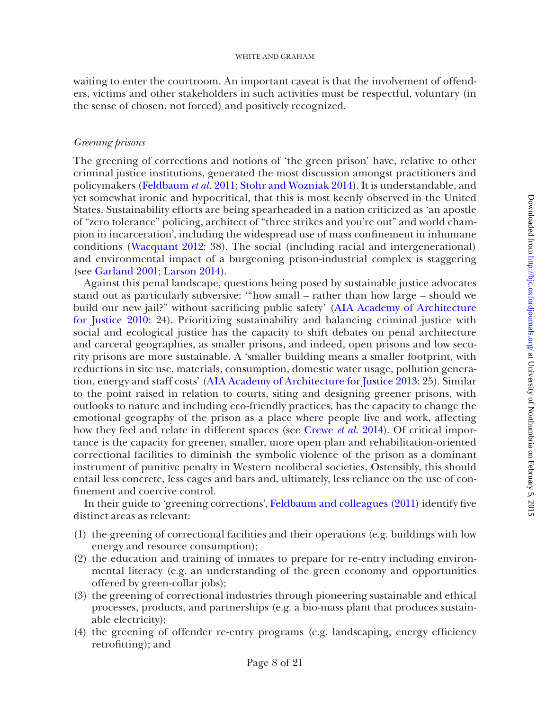waiting to enter the courtroom. An important caveat is that the involvement of offenders, victims and other stakeholders in such activities must be respectful, voluntary (in the sense of chosen, not forced) and positively recognized.

# *Greening prisons*

The greening of corrections and notions of 'the green prison' have, relative to other criminal justice institutions, generated the most discussion amongst practitioners and policymakers ([Feldbaum](#page-17-7) *et al.* 2011; [Stohr and Wozniak 2014\)](#page-19-7). It is understandable, and yet somewhat ironic and hypocritical, that this is most keenly observed in the United States. Sustainability efforts are being spearheaded in a nation criticized as 'an apostle of "zero tolerance" policing, architect of "three strikes and you're out" and world champion in incarceration', including the widespread use of mass confinement in inhumane conditions ([Wacquant 2012:](#page-20-4) 38). The social (including racial and intergenerational) and environmental impact of a burgeoning prison-industrial complex is staggering (see [Garland 2001](#page-17-8); [Larson 2014\)](#page-18-11).

Against this penal landscape, questions being posed by sustainable justice advocates stand out as particularly subversive: '"how small – rather than how large – should we build our new jail?" without sacrificing public safety' (AIA [Academy of Architecture](#page-16-2)  [for Justice 2010:](#page-16-2) 24). Prioritizing sustainability and balancing criminal justice with social and ecological justice has the capacity to shift debates on penal architecture and carceral geographies, as smaller prisons, and indeed, open prisons and low security prisons are more sustainable. A 'smaller building means a smaller footprint, with reductions in site use, materials, consumption, domestic water usage, pollution generation, energy and staff costs' (AIA [Academy of Architecture for Justice 2013](#page-16-2): 25). Similar to the point raised in relation to courts, siting and designing greener prisons, with outlooks to nature and including eco-friendly practices, has the capacity to change the emotional geography of the prison as a place where people live and work, affecting how they feel and relate in different spaces (see [Crewe](#page-17-9) *et al.* 2014). Of critical importance is the capacity for greener, smaller, more open plan and rehabilitation-oriented correctional facilities to diminish the symbolic violence of the prison as a dominant instrument of punitive penalty in Western neoliberal societies. Ostensibly, this should entail less concrete, less cages and bars and, ultimately, less reliance on the use of confinement and coercive control.

In their guide to 'greening corrections', [Feldbaum and colleagues \(2011\)](#page-17-7) identify five distinct areas as relevant:

- (1) the greening of correctional facilities and their operations (e.g. buildings with low energy and resource consumption);
- (2) the education and training of inmates to prepare for re-entry including environmental literacy (e.g. an understanding of the green economy and opportunities offered by green-collar jobs);
- (3) the greening of correctional industries through pioneering sustainable and ethical processes, products, and partnerships (e.g. a bio-mass plant that produces sustainable electricity);
- (4) the greening of offender re-entry programs (e.g. landscaping, energy efficiency retrofitting); and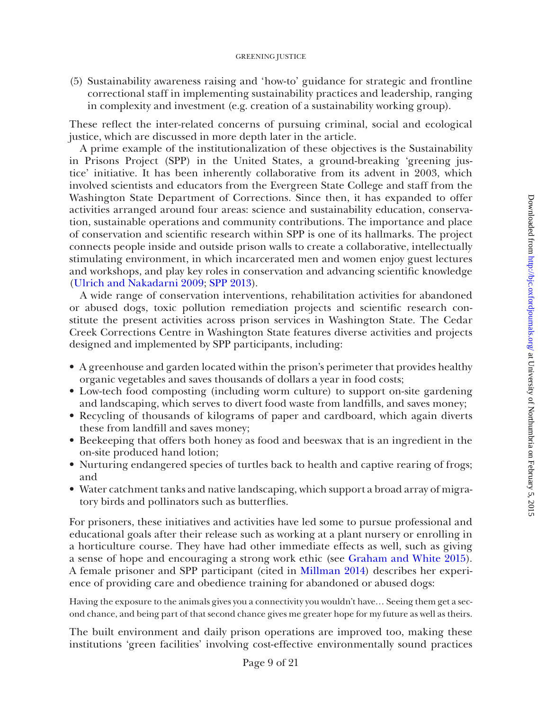(5) Sustainability awareness raising and 'how-to' guidance for strategic and frontline correctional staff in implementing sustainability practices and leadership, ranging in complexity and investment (e.g. creation of a sustainability working group).

These reflect the inter-related concerns of pursuing criminal, social and ecological justice, which are discussed in more depth later in the article.

A prime example of the institutionalization of these objectives is the Sustainability in Prisons Project (SPP) in the United States, a ground-breaking 'greening justice' initiative. It has been inherently collaborative from its advent in 2003, which involved scientists and educators from the Evergreen State College and staff from the Washington State Department of Corrections. Since then, it has expanded to offer activities arranged around four areas: science and sustainability education, conservation, sustainable operations and community contributions. The importance and place of conservation and scientific research within SPP is one of its hallmarks. The project connects people inside and outside prison walls to create a collaborative, intellectually stimulating environment, in which incarcerated men and women enjoy guest lectures and workshops, and play key roles in conservation and advancing scientific knowledge ([Ulrich and Nakadarni 2009](#page-20-5); [SPP 2013\)](#page-19-10).

A wide range of conservation interventions, rehabilitation activities for abandoned or abused dogs, toxic pollution remediation projects and scientific research constitute the present activities across prison services in Washington State. The Cedar Creek Corrections Centre in Washington State features diverse activities and projects designed and implemented by SPP participants, including:

- A greenhouse and garden located within the prison's perimeter that provides healthy organic vegetables and saves thousands of dollars a year in food costs;
- Low-tech food composting (including worm culture) to support on-site gardening and landscaping, which serves to divert food waste from landfills, and saves money;
- Recycling of thousands of kilograms of paper and cardboard, which again diverts these from landfill and saves money;
- Beekeeping that offers both honey as food and beeswax that is an ingredient in the on-site produced hand lotion;
- Nurturing endangered species of turtles back to health and captive rearing of frogs; and
- Water catchment tanks and native landscaping, which support a broad array of migratory birds and pollinators such as butterflies.

For prisoners, these initiatives and activities have led some to pursue professional and educational goals after their release such as working at a plant nursery or enrolling in a horticulture course. They have had other immediate effects as well, such as giving a sense of hope and encouraging a strong work ethic (see [Graham and White 2015](#page-18-0)). A female prisoner and SPP participant (cited in [Millman 2014](#page-19-11)) describes her experience of providing care and obedience training for abandoned or abused dogs:

Having the exposure to the animals gives you a connectivity you wouldn't have… Seeing them get a second chance, and being part of that second chance gives me greater hope for my future as well as theirs.

The built environment and daily prison operations are improved too, making these institutions 'green facilities' involving cost-effective environmentally sound practices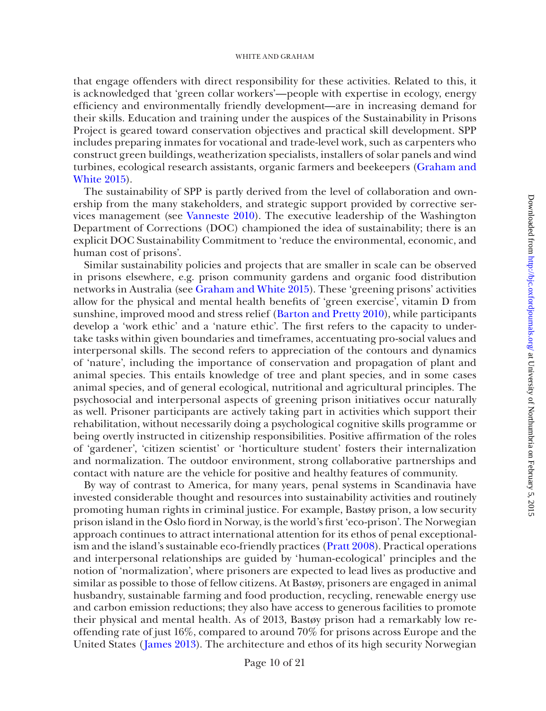that engage offenders with direct responsibility for these activities. Related to this, it is acknowledged that 'green collar workers'—people with expertise in ecology, energy efficiency and environmentally friendly development—are in increasing demand for their skills. Education and training under the auspices of the Sustainability in Prisons Project is geared toward conservation objectives and practical skill development. SPP includes preparing inmates for vocational and trade-level work, such as carpenters who construct green buildings, weatherization specialists, installers of solar panels and wind turbines, ecological research assistants, organic farmers and beekeepers [\(Graham and](#page-18-0)  [White 2015](#page-18-0)).

The sustainability of SPP is partly derived from the level of collaboration and ownership from the many stakeholders, and strategic support provided by corrective services management (see [Vanneste 2010\)](#page-20-6). The executive leadership of the Washington Department of Corrections (DOC ) championed the idea of sustainability; there is an explicit DOC Sustainability Commitment to 'reduce the environmental, economic, and human cost of prisons'.

Similar sustainability policies and projects that are smaller in scale can be observed in prisons elsewhere, e.g. prison community gardens and organic food distribution networks in Australia (see [Graham and White 2015](#page-18-0)). These 'greening prisons' activities allow for the physical and mental health benefits of 'green exercise', vitamin D from sunshine, improved mood and stress relief ([Barton and Pretty 2010\)](#page-16-3), while participants develop a 'work ethic' and a 'nature ethic'. The first refers to the capacity to undertake tasks within given boundaries and timeframes, accentuating pro-social values and interpersonal skills. The second refers to appreciation of the contours and dynamics of 'nature', including the importance of conservation and propagation of plant and animal species. This entails knowledge of tree and plant species, and in some cases animal species, and of general ecological, nutritional and agricultural principles. The psychosocial and interpersonal aspects of greening prison initiatives occur naturally as well. Prisoner participants are actively taking part in activities which support their rehabilitation, without necessarily doing a psychological cognitive skills programme or being overtly instructed in citizenship responsibilities. Positive affirmation of the roles of 'gardener', 'citizen scientist' or 'horticulture student' fosters their internalization and normalization. The outdoor environment, strong collaborative partnerships and contact with nature are the vehicle for positive and healthy features of community.

By way of contrast to America, for many years, penal systems in Scandinavia have invested considerable thought and resources into sustainability activities and routinely promoting human rights in criminal justice. For example, Bastøy prison, a low security prison island in the Oslo fiord in Norway, is the world's first 'eco-prison'. The Norwegian approach continues to attract international attention for its ethos of penal exceptionalism and the island's sustainable eco-friendly practices ([Pratt 2008](#page-19-12)). Practical operations and interpersonal relationships are guided by 'human-ecological' principles and the notion of 'normalization', where prisoners are expected to lead lives as productive and similar as possible to those of fellow citizens. At Bastøy, prisoners are engaged in animal husbandry, sustainable farming and food production, recycling, renewable energy use and carbon emission reductions; they also have access to generous facilities to promote their physical and mental health. As of 2013, Bastøy prison had a remarkably low reoffending rate of just 16%, compared to around 70% for prisons across Europe and the United States ([James 2013](#page-18-12)). The architecture and ethos of its high security Norwegian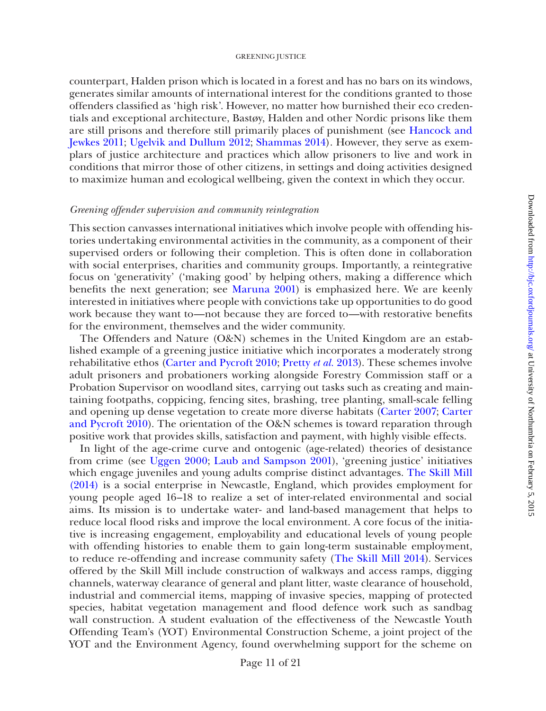counterpart, Halden prison which is located in a forest and has no bars on its windows, generates similar amounts of international interest for the conditions granted to those offenders classified as 'high risk'. However, no matter how burnished their eco credentials and exceptional architecture, Bastøy, Halden and other Nordic prisons like them are still prisons and therefore still primarily places of punishment (see [Hancock and](#page-18-13)  [Jewkes 2011;](#page-18-13) [Ugelvik and Dullum 2012;](#page-20-7) [Shammas 2014](#page-19-13)). However, they serve as exemplars of justice architecture and practices which allow prisoners to live and work in conditions that mirror those of other citizens, in settings and doing activities designed to maximize human and ecological wellbeing, given the context in which they occur.

### *Greening offender supervision and community reintegration*

This section canvasses international initiatives which involve people with offending histories undertaking environmental activities in the community, as a component of their supervised orders or following their completion. This is often done in collaboration with social enterprises, charities and community groups. Importantly, a reintegrative focus on 'generativity' ('making good' by helping others, making a difference which benefits the next generation; see [Maruna 2001](#page-19-14)) is emphasized here. We are keenly interested in initiatives where people with convictions take up opportunities to do good work because they want to—not because they are forced to—with restorative benefits for the environment, themselves and the wider community.

The Offenders and Nature (O&N) schemes in the United Kingdom are an established example of a greening justice initiative which incorporates a moderately strong rehabilitative ethos [\(Carter and Pycroft 2010;](#page-17-10) [Pretty](#page-19-6) *et al.* 2013). These schemes involve adult prisoners and probationers working alongside Forestry Commission staff or a Probation Supervisor on woodland sites, carrying out tasks such as creating and maintaining footpaths, coppicing, fencing sites, brashing, tree planting, small-scale felling and opening up dense vegetation to create more diverse habitats [\(Carter 2007](#page-17-11); [Carter](#page-17-10)  [and Pycroft 2010\)](#page-17-10). The orientation of the O&N schemes is toward reparation through positive work that provides skills, satisfaction and payment, with highly visible effects.

In light of the age-crime curve and ontogenic (age-related) theories of desistance from crime (see [Uggen 2000;](#page-20-8) [Laub and Sampson 2001](#page-18-14)), 'greening justice' initiatives which engage juveniles and young adults comprise distinct advantages. The [Skill](#page-20-9) Mill [\(2014\)](#page-20-9) is a social enterprise in Newcastle, England, which provides employment for young people aged 16–18 to realize a set of inter-related environmental and social aims. Its mission is to undertake water- and land-based management that helps to reduce local flood risks and improve the local environment. A core focus of the initiative is increasing engagement, employability and educational levels of young people with offending histories to enable them to gain long-term sustainable employment, to reduce re-offending and increase community safety (The Skill [Mill 2014\)](#page-20-9). Services offered by the Skill Mill include construction of walkways and access ramps, digging channels, waterway clearance of general and plant litter, waste clearance of household, industrial and commercial items, mapping of invasive species, mapping of protected species, habitat vegetation management and flood defence work such as sandbag wall construction. A student evaluation of the effectiveness of the Newcastle Youth Offending Team's (YOT) Environmental Construction Scheme, a joint project of the YOT and the Environment Agency, found overwhelming support for the scheme on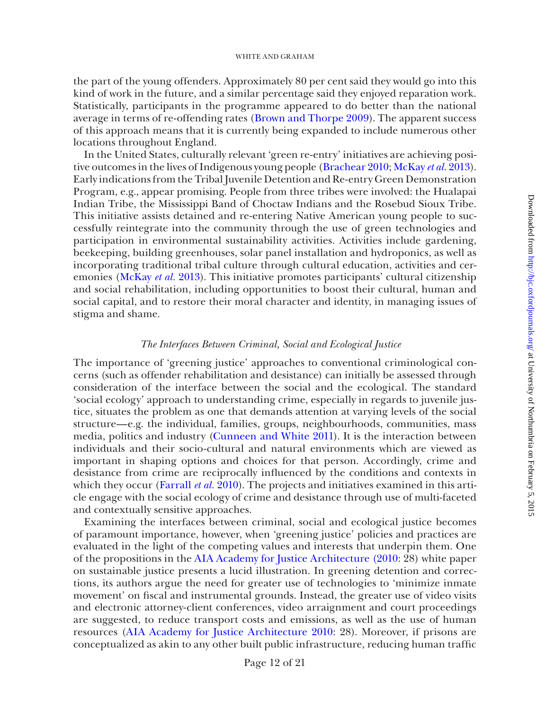the part of the young offenders. Approximately 80 per cent said they would go into this kind of work in the future, and a similar percentage said they enjoyed reparation work. Statistically, participants in the programme appeared to do better than the national average in terms of re-offending rates [\(Brown and Thorpe 2009\)](#page-17-12). The apparent success of this approach means that it is currently being expanded to include numerous other locations throughout England.

In the United States, culturally relevant 'green re-entry' initiatives are achieving positive outcomes in the lives of Indigenous young people [\(Brachear 2010;](#page-16-4) [McKay](#page-19-15) *et al.* 2013). Early indications from the Tribal Juvenile Detention and Re-entry Green Demonstration Program, e.g., appear promising. People from three tribes were involved: the Hualapai Indian Tribe, the Mississippi Band of Choctaw Indians and the Rosebud Sioux Tribe. This initiative assists detained and re-entering Native American young people to successfully reintegrate into the community through the use of green technologies and participation in environmental sustainability activities. Activities include gardening, beekeeping, building greenhouses, solar panel installation and hydroponics, as well as incorporating traditional tribal culture through cultural education, activities and ceremonies ([McKay](#page-19-15) *et al.* 2013). This initiative promotes participants' cultural citizenship and social rehabilitation, including opportunities to boost their cultural, human and social capital, and to restore their moral character and identity, in managing issues of stigma and shame.

# *The Interfaces Between Criminal, Social and Ecological Justice*

The importance of 'greening justice' approaches to conventional criminological concerns (such as offender rehabilitation and desistance) can initially be assessed through consideration of the interface between the social and the ecological. The standard 'social ecology' approach to understanding crime, especially in regards to juvenile justice, situates the problem as one that demands attention at varying levels of the social structure—e.g. the individual, families, groups, neighbourhoods, communities, mass media, politics and industry [\(Cunneen and White 2011](#page-17-13)). It is the interaction between individuals and their socio-cultural and natural environments which are viewed as important in shaping options and choices for that person. Accordingly, crime and desistance from crime are reciprocally influenced by the conditions and contexts in which they occur ([Farrall](#page-17-14) *et al.* 2010). The projects and initiatives examined in this article engage with the social ecology of crime and desistance through use of multi-faceted and contextually sensitive approaches.

Examining the interfaces between criminal, social and ecological justice becomes of paramount importance, however, when 'greening justice' policies and practices are evaluated in the light of the competing values and interests that underpin them. One of the propositions in the AIA [Academy for Justice Architecture \(2010:](#page-16-2) 28) white paper on sustainable justice presents a lucid illustration. In greening detention and corrections, its authors argue the need for greater use of technologies to 'minimize inmate movement' on fiscal and instrumental grounds. Instead, the greater use of video visits and electronic attorney-client conferences, video arraignment and court proceedings are suggested, to reduce transport costs and emissions, as well as the use of human resources (AIA [Academy for Justice Architecture 2010:](#page-16-2) 28). Moreover, if prisons are conceptualized as akin to any other built public infrastructure, reducing human traffic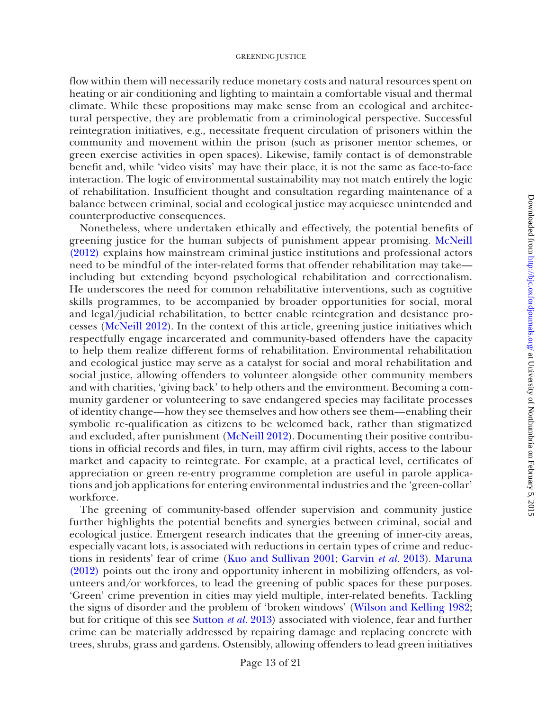flow within them will necessarily reduce monetary costs and natural resources spent on heating or air conditioning and lighting to maintain a comfortable visual and thermal climate. While these propositions may make sense from an ecological and architectural perspective, they are problematic from a criminological perspective. Successful reintegration initiatives, e.g., necessitate frequent circulation of prisoners within the community and movement within the prison (such as prisoner mentor schemes, or green exercise activities in open spaces). Likewise, family contact is of demonstrable benefit and, while 'video visits' may have their place, it is not the same as face-to-face interaction. The logic of environmental sustainability may not match entirely the logic of rehabilitation. Insufficient thought and consultation regarding maintenance of a balance between criminal, social and ecological justice may acquiesce unintended and counterproductive consequences.

Nonetheless, where undertaken ethically and effectively, the potential benefits of greening justice for the human subjects of punishment appear promising. [McNeill](#page-19-16) [\(2012\)](#page-19-16) explains how mainstream criminal justice institutions and professional actors need to be mindful of the inter-related forms that offender rehabilitation may take including but extending beyond psychological rehabilitation and correctionalism. He underscores the need for common rehabilitative interventions, such as cognitive skills programmes, to be accompanied by broader opportunities for social, moral and legal/judicial rehabilitation, to better enable reintegration and desistance processes [\(McNeill 2012\)](#page-19-16). In the context of this article, greening justice initiatives which respectfully engage incarcerated and community-based offenders have the capacity to help them realize different forms of rehabilitation. Environmental rehabilitation and ecological justice may serve as a catalyst for social and moral rehabilitation and social justice, allowing offenders to volunteer alongside other community members and with charities, 'giving back' to help others and the environment. Becoming a community gardener or volunteering to save endangered species may facilitate processes of identity change—how they see themselves and how others see them—enabling their symbolic re-qualification as citizens to be welcomed back, rather than stigmatized and excluded, after punishment ([McNeill 2012\)](#page-19-16). Documenting their positive contributions in official records and files, in turn, may affirm civil rights, access to the labour market and capacity to reintegrate. For example, at a practical level, certificates of appreciation or green re-entry programme completion are useful in parole applications and job applications for entering environmental industries and the 'green-collar' workforce.

The greening of community-based offender supervision and community justice further highlights the potential benefits and synergies between criminal, social and ecological justice. Emergent research indicates that the greening of inner-city areas, especially vacant lots, is associated with reductions in certain types of crime and reductions in residents' fear of crime [\(Kuo and Sullivan 2001](#page-18-15); [Garvin](#page-17-15) *et al.* 2013). [Maruna](#page-19-17)  [\(2012\)](#page-19-17) points out the irony and opportunity inherent in mobilizing offenders, as volunteers and/or workforces, to lead the greening of public spaces for these purposes. 'Green' crime prevention in cities may yield multiple, inter-related benefits. Tackling the signs of disorder and the problem of 'broken windows' ([Wilson and Kelling 1982](#page-20-10); but for critique of this see [Sutton](#page-20-3) *et al.* 2013) associated with violence, fear and further crime can be materially addressed by repairing damage and replacing concrete with trees, shrubs, grass and gardens. Ostensibly, allowing offenders to lead green initiatives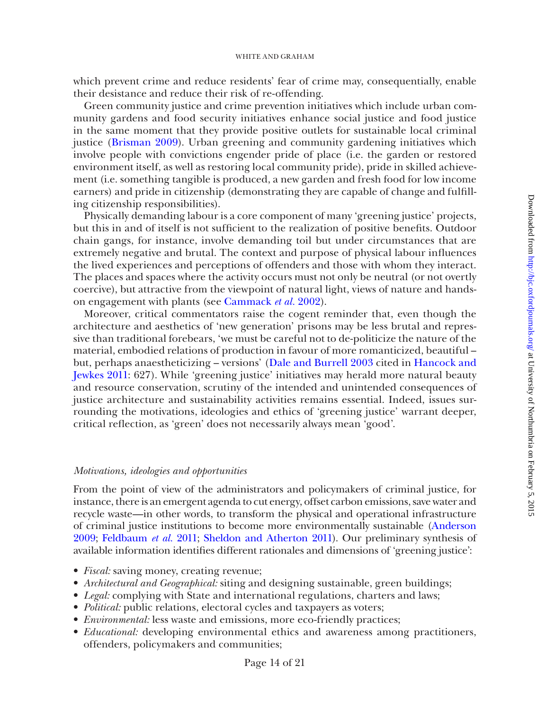which prevent crime and reduce residents' fear of crime may, consequentially, enable their desistance and reduce their risk of re-offending.

Green community justice and crime prevention initiatives which include urban community gardens and food security initiatives enhance social justice and food justice in the same moment that they provide positive outlets for sustainable local criminal justice ([Brisman 2009](#page-17-16)). Urban greening and community gardening initiatives which involve people with convictions engender pride of place (i.e. the garden or restored environment itself, as well as restoring local community pride), pride in skilled achievement (i.e. something tangible is produced, a new garden and fresh food for low income earners) and pride in citizenship (demonstrating they are capable of change and fulfilling citizenship responsibilities).

Physically demanding labour is a core component of many 'greening justice' projects, but this in and of itself is not sufficient to the realization of positive benefits. Outdoor chain gangs, for instance, involve demanding toil but under circumstances that are extremely negative and brutal. The context and purpose of physical labour influences the lived experiences and perceptions of offenders and those with whom they interact. The places and spaces where the activity occurs must not only be neutral (or not overtly coercive), but attractive from the viewpoint of natural light, views of nature and handson engagement with plants (see [Cammack](#page-17-17) *et al.* 2002).

Moreover, critical commentators raise the cogent reminder that, even though the architecture and aesthetics of 'new generation' prisons may be less brutal and repressive than traditional forebears, 'we must be careful not to de-politicize the nature of the material, embodied relations of production in favour of more romanticized, beautiful – but, perhaps anaestheticizing – versions' [\(Dale and Burrell 2003](#page-17-18) cited in [Hancock and](#page-18-13)  [Jewkes 2011:](#page-18-13) 627). While 'greening justice' initiatives may herald more natural beauty and resource conservation, scrutiny of the intended and unintended consequences of justice architecture and sustainability activities remains essential. Indeed, issues surrounding the motivations, ideologies and ethics of 'greening justice' warrant deeper, critical reflection, as 'green' does not necessarily always mean 'good'.

# *Motivations, ideologies and opportunities*

From the point of view of the administrators and policymakers of criminal justice, for instance, there is an emergent agenda to cut energy, offset carbon emissions, save water and recycle waste—in other words, to transform the physical and operational infrastructure of criminal justice institutions to become more environmentally sustainable [\(Anderson](#page-16-5)  [2009;](#page-16-5) [Feldbaum](#page-17-7) *et al.* 2011; [Sheldon and Atherton 2011\)](#page-19-18). Our preliminary synthesis of available information identifies different rationales and dimensions of 'greening justice':

- *Fiscal:* saving money, creating revenue;
- • *Architectural and Geographical:* siting and designing sustainable, green buildings;
- • *Legal:* complying with State and international regulations, charters and laws;
- *Political:* public relations, electoral cycles and taxpayers as voters;
- *Environmental:* less waste and emissions, more eco-friendly practices;
- • *Educational:* developing environmental ethics and awareness among practitioners, offenders, policymakers and communities;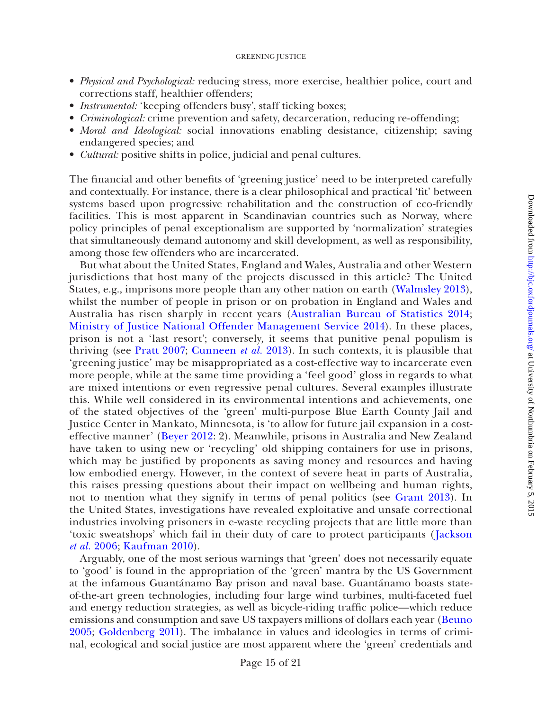- • *Physical and Psychological:* reducing stress, more exercise, healthier police, court and corrections staff, healthier offenders;
- *Instrumental:* 'keeping offenders busy', staff ticking boxes;
- • *Criminological:* crime prevention and safety, decarceration, reducing re-offending;
- • *Moral and Ideological:* social innovations enabling desistance, citizenship; saving endangered species; and
- *Cultural:* positive shifts in police, judicial and penal cultures.

The financial and other benefits of 'greening justice' need to be interpreted carefully and contextually. For instance, there is a clear philosophical and practical 'fit' between systems based upon progressive rehabilitation and the construction of eco-friendly facilities. This is most apparent in Scandinavian countries such as Norway, where policy principles of penal exceptionalism are supported by 'normalization' strategies that simultaneously demand autonomy and skill development, as well as responsibility, among those few offenders who are incarcerated.

But what about the United States, England and Wales, Australia and other Western jurisdictions that host many of the projects discussed in this article? The United States, e.g., imprisons more people than any other nation on earth ([Walmsley 2013\)](#page-20-11), whilst the number of people in prison or on probation in England and Wales and Australia has risen sharply in recent years ([Australian Bureau of Statistics 2014;](#page-16-6) [Ministry of Justice National Offender Management Service 2014\)](#page-19-19). In these places, prison is not a 'last resort'; conversely, it seems that punitive penal populism is thriving (see [Pratt 2007;](#page-19-20) [Cunneen](#page-17-19) *et al.* 2013). In such contexts, it is plausible that 'greening justice' may be misappropriated as a cost-effective way to incarcerate even more people, while at the same time providing a 'feel good' gloss in regards to what are mixed intentions or even regressive penal cultures. Several examples illustrate this. While well considered in its environmental intentions and achievements, one of the stated objectives of the 'green' multi-purpose Blue Earth County Jail and Justice Center in Mankato, Minnesota, is 'to allow for future jail expansion in a costeffective manner' [\(Beyer 2012](#page-16-7): 2). Meanwhile, prisons in Australia and New Zealand have taken to using new or 'recycling' old shipping containers for use in prisons, which may be justified by proponents as saving money and resources and having low embodied energy. However, in the context of severe heat in parts of Australia, this raises pressing questions about their impact on wellbeing and human rights, not to mention what they signify in terms of penal politics (see [Grant 2013\)](#page-18-16). In the United States, investigations have revealed exploitative and unsafe correctional industries involving prisoners in e-waste recycling projects that are little more than 'toxic sweatshops' which fail in their duty of care to protect participants ([Jackson](#page-18-17)  *et al.* [2006](#page-18-17); [Kaufman 2010\)](#page-18-18).

Arguably, one of the most serious warnings that 'green' does not necessarily equate to 'good' is found in the appropriation of the 'green' mantra by the US Government at the infamous Guantánamo Bay prison and naval base. Guantánamo boasts stateof-the-art green technologies, including four large wind turbines, multi-faceted fuel and energy reduction strategies, as well as bicycle-riding traffic police—which reduce emissions and consumption and save US taxpayers millions of dollars each year [\(Beuno](#page-16-8)  [2005](#page-16-8); [Goldenberg 2011](#page-17-20)). The imbalance in values and ideologies in terms of criminal, ecological and social justice are most apparent where the 'green' credentials and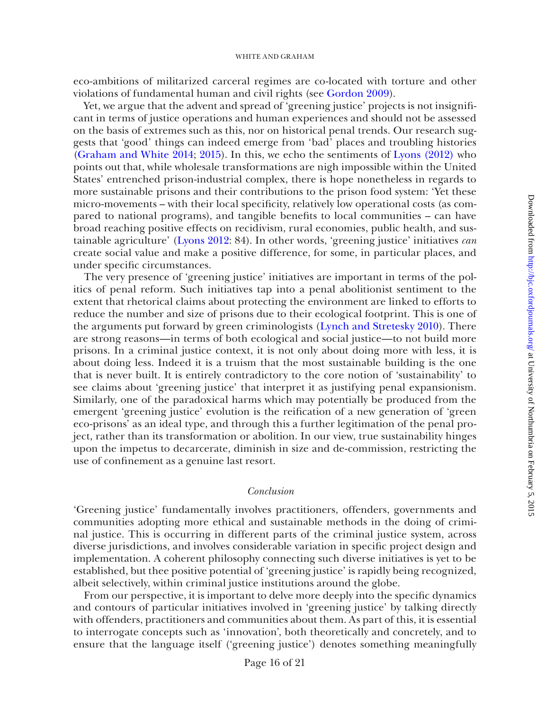eco-ambitions of militarized carceral regimes are co-located with torture and other violations of fundamental human and civil rights (see [Gordon 2009\)](#page-18-19).

Yet, we argue that the advent and spread of 'greening justice' projects is not insignificant in terms of justice operations and human experiences and should not be assessed on the basis of extremes such as this, nor on historical penal trends. Our research suggests that 'good' things can indeed emerge from 'bad' places and troubling histories [\(Graham and White 2014;](#page-18-3) [2015\)](#page-18-0). In this, we echo the sentiments of [Lyons \(2012\)](#page-18-20) who points out that, while wholesale transformations are nigh impossible within the United States' entrenched prison-industrial complex, there is hope nonetheless in regards to more sustainable prisons and their contributions to the prison food system: 'Yet these micro-movements – with their local specificity, relatively low operational costs (as compared to national programs), and tangible benefits to local communities – can have broad reaching positive effects on recidivism, rural economies, public health, and sustainable agriculture' [\(Lyons 2012:](#page-18-20) 84). In other words, 'greening justice' initiatives *can* create social value and make a positive difference, for some, in particular places, and under specific circumstances.

The very presence of 'greening justice' initiatives are important in terms of the politics of penal reform. Such initiatives tap into a penal abolitionist sentiment to the extent that rhetorical claims about protecting the environment are linked to efforts to reduce the number and size of prisons due to their ecological footprint. This is one of the arguments put forward by green criminologists [\(Lynch and Stretesky 2010](#page-18-7)). There are strong reasons—in terms of both ecological and social justice—to not build more prisons. In a criminal justice context, it is not only about doing more with less, it is about doing less. Indeed it is a truism that the most sustainable building is the one that is never built. It is entirely contradictory to the core notion of 'sustainability' to see claims about 'greening justice' that interpret it as justifying penal expansionism. Similarly, one of the paradoxical harms which may potentially be produced from the emergent 'greening justice' evolution is the reification of a new generation of 'green eco-prisons' as an ideal type, and through this a further legitimation of the penal project, rather than its transformation or abolition. In our view, true sustainability hinges upon the impetus to decarcerate, diminish in size and de-commission, restricting the use of confinement as a genuine last resort.

### *Conclusion*

'Greening justice' fundamentally involves practitioners, offenders, governments and communities adopting more ethical and sustainable methods in the doing of criminal justice. This is occurring in different parts of the criminal justice system, across diverse jurisdictions, and involves considerable variation in specific project design and implementation. A coherent philosophy connecting such diverse initiatives is yet to be established, but thee positive potential of 'greening justice' is rapidly being recognized, albeit selectively, within criminal justice institutions around the globe.

From our perspective, it is important to delve more deeply into the specific dynamics and contours of particular initiatives involved in 'greening justice' by talking directly with offenders, practitioners and communities about them. As part of this, it is essential to interrogate concepts such as 'innovation', both theoretically and concretely, and to ensure that the language itself ('greening justice') denotes something meaningfully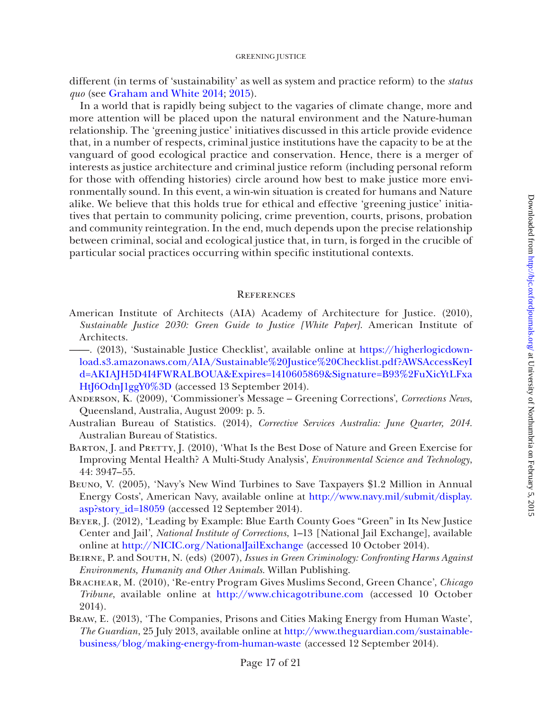different (in terms of 'sustainability' as well as system and practice reform) to the *status quo* (see [Graham and White 2014](#page-18-3); [2015\)](#page-18-0).

In a world that is rapidly being subject to the vagaries of climate change, more and more attention will be placed upon the natural environment and the Nature-human relationship. The 'greening justice' initiatives discussed in this article provide evidence that, in a number of respects, criminal justice institutions have the capacity to be at the vanguard of good ecological practice and conservation. Hence, there is a merger of interests as justice architecture and criminal justice reform (including personal reform for those with offending histories) circle around how best to make justice more environmentally sound. In this event, a win-win situation is created for humans and Nature alike. We believe that this holds true for ethical and effective 'greening justice' initiatives that pertain to community policing, crime prevention, courts, prisons, probation and community reintegration. In the end, much depends upon the precise relationship between criminal, social and ecological justice that, in turn, is forged in the crucible of particular social practices occurring within specific institutional contexts.

### **REFERENCES**

- <span id="page-16-2"></span>American Institute of Architects (AIA ) Academy of Architecture for Justice. (2010), *Sustainable Justice 2030: Green Guide to Justice [White Paper]*. American Institute of Architects.
- ——. (2013), 'Sustainable Justice Checklist', available online at [https://higherlogicdown](https://higherlogicdownload.s3.amazonaws.com/AIA/Sustainable%20Justice%20Checklist.pdf?AWSAccessKeyId=AKIAJH5D4I4FWRALBOUA&Expires=1410605869&Signature=B93%2FuXicYtLFxaHtJ6OdnJ1ggY0%3D)load.s3.amazonaws.com/AIA [/Sustainable%20Justice%20Checklist.pdf?AWSAccessKeyI](https://higherlogicdownload.s3.amazonaws.com/AIA/Sustainable%20Justice%20Checklist.pdf?AWSAccessKeyId=AKIAJH5D4I4FWRALBOUA&Expires=1410605869&Signature=B93%2FuXicYtLFxaHtJ6OdnJ1ggY0%3D) d=AKIAJH5D4I4FWRAL BOUA [&Expires=1410605869&Signature=B93%2FuXicYtLFxa](https://higherlogicdownload.s3.amazonaws.com/AIA/Sustainable%20Justice%20Checklist.pdf?AWSAccessKeyId=AKIAJH5D4I4FWRALBOUA&Expires=1410605869&Signature=B93%2FuXicYtLFxaHtJ6OdnJ1ggY0%3D) [HtJ6OdnJ1ggY0%3D](https://higherlogicdownload.s3.amazonaws.com/AIA/Sustainable%20Justice%20Checklist.pdf?AWSAccessKeyId=AKIAJH5D4I4FWRALBOUA&Expires=1410605869&Signature=B93%2FuXicYtLFxaHtJ6OdnJ1ggY0%3D) (accessed 13 September 2014).
- <span id="page-16-5"></span>Anderson, K. (2009), 'Commissioner's Message – Greening Corrections', *Corrections News*, Queensland, Australia, August 2009: p. 5.
- <span id="page-16-6"></span>Australian Bureau of Statistics. (2014), *Corrective Services Australia: June Quarter, 2014*. Australian Bureau of Statistics.
- <span id="page-16-3"></span>BARTON, J. and PRETTY, J. (2010), 'What Is the Best Dose of Nature and Green Exercise for Improving Mental Health? A Multi-Study Analysis', *Environmental Science and Technology*, 44: 3947–55.
- <span id="page-16-8"></span>Beuno, V. (2005), 'Navy's New Wind Turbines to Save Taxpayers \$1.2 Million in Annual Energy Costs', American Navy, available online at [http://www.navy.mil/submit/display.](http://www.navy.mil/submit/display.asp?story_id=18059) [asp?story\\_id=18059](http://www.navy.mil/submit/display.asp?story_id=18059) (accessed 12 September 2014).
- <span id="page-16-7"></span>Beyer, J. (2012), 'Leading by Example: Blue Earth County Goes "Green" in Its New Justice Center and Jail', *National Institute of Corrections*, 1–13 [National Jail Exchange], available online at http://NICIC [.org/NationalJailExchange](http://NICIC.org/NationalJailExchange) (accessed 10 October 2014).
- <span id="page-16-1"></span>Beirne, P. and South, N. (eds) (2007), *Issues in Green Criminology: Confronting Harms Against Environments, Humanity and Other Animals*. Willan Publishing.
- <span id="page-16-4"></span>Brachear, M. (2010), 'Re-entry Program Gives Muslims Second, Green Chance', *Chicago Tribune*, available online at <http://www.chicagotribune.com> (accessed 10 October 2014).
- <span id="page-16-0"></span>Braw, E. (2013), 'The Companies, Prisons and Cities Making Energy from Human Waste', *The Guardian*, 25 July 2013, available online at [http://www.theguardian.com/sustainable](http://www.theguardian.com/sustainable-business/blog/making-energy-from-human-waste)[business/blog/making-energy-from-human-waste](http://www.theguardian.com/sustainable-business/blog/making-energy-from-human-waste) (accessed 12 September 2014).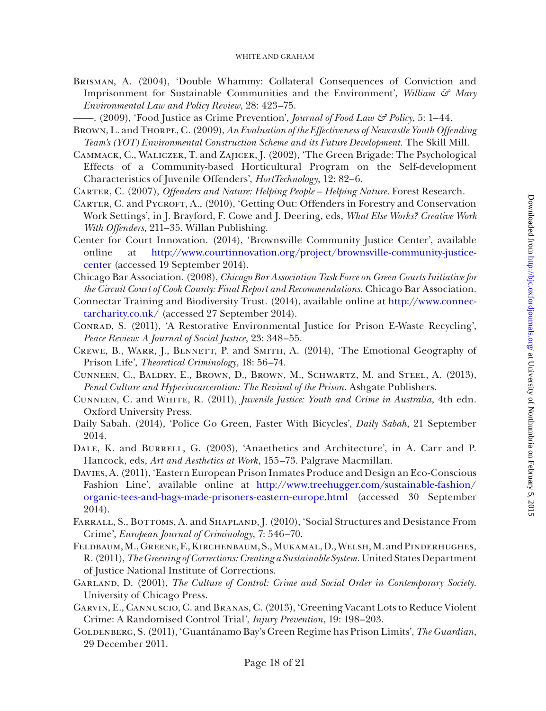- <span id="page-17-4"></span>Brisman, A. (2004), 'Double Whammy: Collateral Consequences of Conviction and Imprisonment for Sustainable Communities and the Environment', *William & Mary Environmental Law and Policy Review*, 28: 423–75.
- <span id="page-17-16"></span>——. (2009), 'Food Justice as Crime Prevention', *Journal of Food Law & Policy*, 5: 1–44.
- <span id="page-17-12"></span>Brown, L. and Thorpe, C. (2009), *An Evaluation of the Effectiveness of Newcastle Youth Offending Team's (YOT) Environmental Construction Scheme and its Future Development*. The Skill Mill.
- <span id="page-17-17"></span>Cammack, C., Waliczek, T. and Zajicek, J. (2002), 'The Green Brigade: The Psychological Effects of a Community-based Horticultural Program on the Self-development Characteristics of Juvenile Offenders', *HortTechnology*, 12: 82–6.
- <span id="page-17-11"></span>Carter, C. (2007), *Offenders and Nature: Helping People – Helping Nature*. Forest Research.
- <span id="page-17-10"></span>Carter, C. and Pycroft, A., (2010), 'Getting Out: Offenders in Forestry and Conservation Work Settings', in J. Brayford, F. Cowe and J. Deering, eds, *What Else Works? Creative Work With Offenders*, 211–35. Willan Publishing.
- <span id="page-17-5"></span>Center for Court Innovation. (2014), 'Brownsville Community Justice Center', available online at [http://www.courtinnovation.org/project/brownsville-community-justice](http://www.courtinnovation.org/project/brownsville-community-justice-center)[center](http://www.courtinnovation.org/project/brownsville-community-justice-center) (accessed 19 September 2014).
- <span id="page-17-6"></span>Chicago Bar Association. (2008), *Chicago Bar Association Task Force on Green Courts Initiative for the Circuit Court of Cook County: Final Report and Recommendations*. Chicago Bar Association.
- <span id="page-17-0"></span>Connectar Training and Biodiversity Trust. (2014), available online at [http://www.connec](http://www.connectarcharity.co.uk/)[tarcharity.co.uk/](http://www.connectarcharity.co.uk/) (accessed 27 September 2014).
- <span id="page-17-3"></span>Conrad, S. (2011), 'A Restorative Environmental Justice for Prison E-Waste Recycling', *Peace Review: A Journal of Social Justice*, 23: 348–55.
- <span id="page-17-9"></span>Crewe, B., Warr, J., Bennett, P. and Smith, A. (2014), 'The Emotional Geography of Prison Life', *Theoretical Criminology*, 18: 56–74.
- <span id="page-17-19"></span>Cunneen, C., Baldry, E., Brown, D., Brown, M., Schwartz, M. and Steel, A. (2013), *Penal Culture and Hyperincarceration: The Revival of the Prison*. Ashgate Publishers.
- <span id="page-17-13"></span>Cunneen, C. and White, R. (2011), *Juvenile Justice: Youth and Crime in Australia*, 4th edn. Oxford University Press.
- <span id="page-17-2"></span>Daily Sabah. (2014), 'Police Go Green, Faster With Bicycles', *Daily Sabah*, 21 September 2014.
- <span id="page-17-18"></span>DALE, K. and BURRELL, G. (2003), 'Anaethetics and Architecture', in A. Carr and P. Hancock, eds, *Art and Aesthetics at Work*, 155–73. Palgrave Macmillan.
- <span id="page-17-1"></span>Davies, A. (2011), 'Eastern European Prison Inmates Produce and Design an Eco-Conscious Fashion Line', available online at [http://www.treehugger.com/sustainable-fashion/](http://www.treehugger.com/sustainable-fashion/organic-tees-and-bags-made-prisoners-eastern-europe.html) [organic-tees-and-bags-made-prisoners-eastern-europe.html](http://www.treehugger.com/sustainable-fashion/organic-tees-and-bags-made-prisoners-eastern-europe.html) (accessed 30 September 2014).
- <span id="page-17-14"></span>FARRALL, S., BOTTOMS, A. and SHAPLAND, J. (2010), 'Social Structures and Desistance From Crime', *European Journal of Criminology*, 7: 546–70.
- <span id="page-17-7"></span>Feldbaum, M., Greene, F., Kirchenbaum, S., Mukamal, D., Welsh, M. and Pinderhughes, R. (2011), *The Greening of Corrections: Creating a Sustainable System*. United States Department of Justice National Institute of Corrections.
- <span id="page-17-8"></span>Garland, D. (2001), *The Culture of Control: Crime and Social Order in Contemporary Society*. University of Chicago Press.
- <span id="page-17-15"></span>Garvin, E., Cannuscio, C. and Branas, C. (2013), 'Greening Vacant Lots to Reduce Violent Crime: A Randomised Control Trial', *Injury Prevention*, 19: 198–203.
- <span id="page-17-20"></span>Goldenberg, S. (2011), 'Guantánamo Bay's Green Regime has Prison Limits', *The Guardian*, 29 December 2011.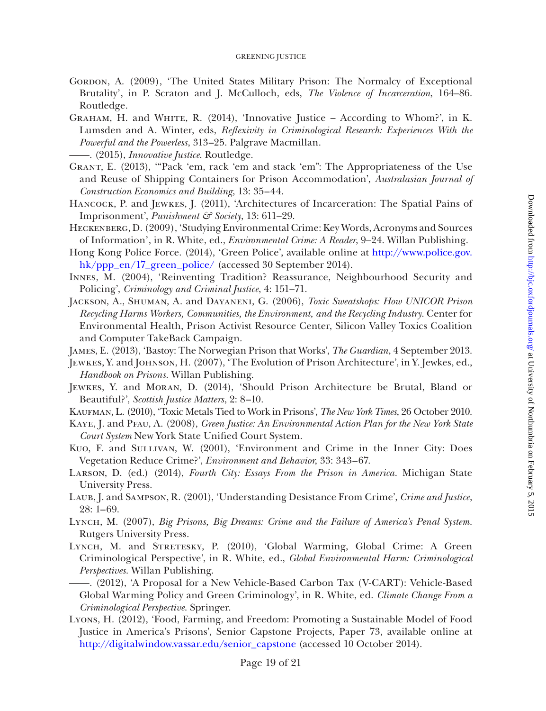- <span id="page-18-19"></span>GORDON, A. (2009), 'The United States Military Prison: The Normalcy of Exceptional Brutality', in P. Scraton and J. McCulloch, eds, *The Violence of Incarceration*, 164–86. Routledge.
- <span id="page-18-3"></span>Graham, H. and White, R. (2014), 'Innovative Justice – According to Whom?', in K. Lumsden and A. Winter, eds, *Reflexivity in Criminological Research: Experiences With the Powerful and the Powerless*, 313–25. Palgrave Macmillan.
- <span id="page-18-0"></span>——. (2015), *Innovative Justice*. Routledge.
- <span id="page-18-16"></span>Grant, E. (2013), '"Pack 'em, rack 'em and stack 'em": The Appropriateness of the Use and Reuse of Shipping Containers for Prison Accommodation', *Australasian Journal of Construction Economics and Building*, 13: 35–44.
- <span id="page-18-13"></span>Hancock, P. and Jewkes, J. (2011), 'Architectures of Incarceration: The Spatial Pains of Imprisonment', *Punishment & Society*, 13: 611–29.
- <span id="page-18-4"></span>Heckenberg, D. (2009), 'Studying Environmental Crime: Key Words, Acronyms and Sources of Information', in R. White, ed., *Environmental Crime: A Reader*, 9–24. Willan Publishing.
- <span id="page-18-8"></span>Hong Kong Police Force. (2014), 'Green Police', available online at [http://www.police.gov.](http://www.police.gov.hk/ppp_en/17_green_police/) [hk/ppp\\_en/17\\_green\\_police/](http://www.police.gov.hk/ppp_en/17_green_police/) (accessed 30 September 2014).
- <span id="page-18-9"></span>Innes, M. (2004), 'Reinventing Tradition? Reassurance, Neighbourhood Security and Policing', *Criminology and Criminal Justice*, 4: 151–71.
- <span id="page-18-17"></span>Jackson, A., Shuman, A. and Dayaneni, G. (2006), *Toxic Sweatshops: How UNICOR Prison Recycling Harms Workers, Communities, the Environment, and the Recycling Industry*. Center for Environmental Health, Prison Activist Resource Center, Silicon Valley Toxics Coalition and Computer TakeBack Campaign.
- <span id="page-18-12"></span>James, E. (2013), 'Bastoy: The Norwegian Prison that Works', *The Guardian*, 4 September 2013.
- <span id="page-18-1"></span>Jewkes, Y. and Johnson, H. (2007), 'The Evolution of Prison Architecture', in Y. Jewkes, ed., *Handbook on Prisons*. Willan Publishing.
- <span id="page-18-2"></span>Jewkes, Y. and Moran, D. (2014), 'Should Prison Architecture be Brutal, Bland or Beautiful?', *Scottish Justice Matters*, 2: 8–10.
- <span id="page-18-18"></span>Kaufman, L. (2010), 'Toxic Metals Tied to Work in Prisons', *The New York Times*, 26 October 2010.
- <span id="page-18-10"></span>Kaye, J. and Pfau, A. (2008), *Green Justice: An Environmental Action Plan for the New York State Court System* New York State Unified Court System.
- <span id="page-18-15"></span>Kuo, F. and Sullivan, W. (2001), 'Environment and Crime in the Inner City: Does Vegetation Reduce Crime?', *Environment and Behavior*, 33: 343–67.
- <span id="page-18-11"></span>Larson, D. (ed.) (2014), *Fourth City: Essays From the Prison in America*. Michigan State University Press.
- <span id="page-18-14"></span>Laub, J. and Sampson, R. (2001), 'Understanding Desistance From Crime', *Crime and Justice*, 28: 1–69.
- <span id="page-18-5"></span>Lynch, M. (2007), *Big Prisons, Big Dreams: Crime and the Failure of America's Penal System*. Rutgers University Press.
- <span id="page-18-7"></span>LYNCH, M. and STRETESKY, P. (2010), 'Global Warming, Global Crime: A Green Criminological Perspective', in R. White, ed., *Global Environmental Harm: Criminological Perspectives*. Willan Publishing.
- <span id="page-18-6"></span>——. (2012), 'A Proposal for a New Vehicle-Based Carbon Tax (V-CART ): Vehicle-Based Global Warming Policy and Green Criminology', in R. White, ed. *Climate Change From a Criminological Perspective*. Springer.
- <span id="page-18-20"></span>Lyons, H. (2012), 'Food, Farming, and Freedom: Promoting a Sustainable Model of Food Justice in America's Prisons', Senior Capstone Projects, Paper 73, available online at [http://digitalwindow.vassar.edu/senior\\_capstone](http://digitalwindow.vassar.edu/senior_capstone) (accessed 10 October 2014).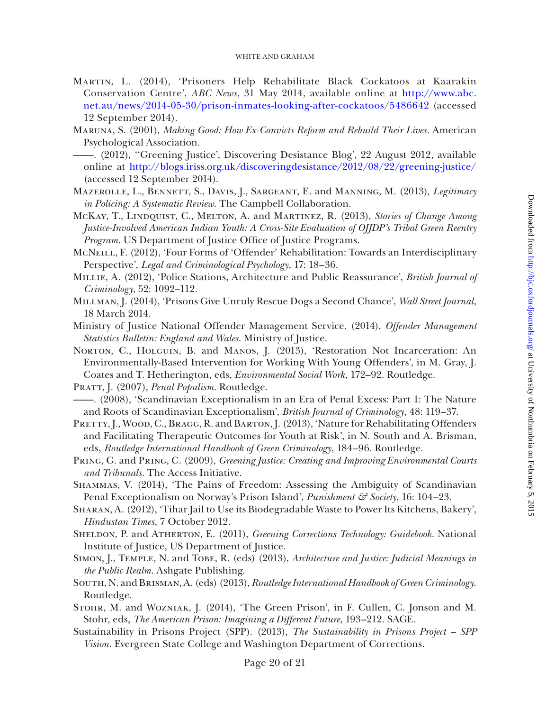- <span id="page-19-0"></span>Martin, L. (2014), 'Prisoners Help Rehabilitate Black Cockatoos at Kaarakin Conservation Centre', *ABC News*, 31 May 2014, available online at [http://www.abc.](http://www.abc.net.au/news/2014-05-30/prison-inmates-looking-after-cockatoos/5486642) [net.au/news/2014-05-30/prison-inmates-looking-after-cockatoos/5486642](http://www.abc.net.au/news/2014-05-30/prison-inmates-looking-after-cockatoos/5486642) (accessed 12 September 2014).
- <span id="page-19-14"></span>Maruna, S. (2001), *Making Good: How Ex-Convicts Reform and Rebuild Their Lives*. American Psychological Association.
- <span id="page-19-17"></span>——. (2012), ''Greening Justice', Discovering Desistance Blog', 22 August 2012, available online at <http://blogs.iriss.org.uk/discoveringdesistance/2012/08/22/greening-justice/> (accessed 12 September 2014).
- <span id="page-19-8"></span>Mazerolle, L., Bennett, S., Davis, J., Sargeant, E. and Manning, M. (2013), *Legitimacy in Policing: A Systematic Review*. The Campbell Collaboration.
- <span id="page-19-15"></span>McKay, T., Lindquist, C., Melton, A. and Martinez, R. (2013), *Stories of Change Among Justice-Involved American Indian Youth: A Cross-Site Evaluation of OJJDP's Tribal Green Reentry Program*. US Department of Justice Office of Justice Programs.
- <span id="page-19-16"></span>McNeill, F. (2012), 'Four Forms of 'Offender' Rehabilitation: Towards an Interdisciplinary Perspective', *Legal and Criminological Psychology*, 17: 18–36.
- <span id="page-19-3"></span>Millie, A. (2012), 'Police Stations, Architecture and Public Reassurance', *British Journal of Criminology*, 52: 1092–112.
- <span id="page-19-11"></span>Millman, J. (2014), 'Prisons Give Unruly Rescue Dogs a Second Chance', *Wall Street Journal*, 18 March 2014.
- <span id="page-19-19"></span>Ministry of Justice National Offender Management Service. (2014), *Offender Management Statistics Bulletin: England and Wales*. Ministry of Justice.
- <span id="page-19-5"></span>NORTON, C., HOLGUIN, B. and MANOS, J. (2013), 'Restoration Not Incarceration: An Environmentally-Based Intervention for Working With Young Offenders', in M. Gray, J. Coates and T. Hetherington, eds, *Environmental Social Work*, 172–92. Routledge.
- <span id="page-19-20"></span>PRATT, J. (2007), *Penal Populism*. Routledge.
- <span id="page-19-12"></span>——. (2008), 'Scandinavian Exceptionalism in an Era of Penal Excess: Part 1: The Nature and Roots of Scandinavian Exceptionalism', *British Journal of Criminology*, 48: 119–37.
- <span id="page-19-6"></span>PRETTY, J., WOOD, C., BRAGG, R. and BARTON, J. (2013), 'Nature for Rehabilitating Offenders and Facilitating Therapeutic Outcomes for Youth at Risk', in N. South and A. Brisman, eds, *Routledge International Handbook of Green Criminology*, 184–96. Routledge.
- <span id="page-19-9"></span>Pring, G. and Pring, C. (2009), *Greening Justice: Creating and Improving Environmental Courts and Tribunals*. The Access Initiative.
- <span id="page-19-13"></span>Shammas, V. (2014), 'The Pains of Freedom: Assessing the Ambiguity of Scandinavian Penal Exceptionalism on Norway's Prison Island', *Punishment & Society*, 16: 104–23.
- <span id="page-19-1"></span>Sharan, A. (2012), 'Tihar Jail to Use its Biodegradable Waste to Power Its Kitchens, Bakery', *Hindustan Times*, 7 October 2012.
- <span id="page-19-18"></span>Sheldon, P. and Atherton, E. (2011), *Greening Corrections Technology: Guidebook*. National Institute of Justice, US Department of Justice.
- <span id="page-19-4"></span>Simon, J., Temple, N. and Tobe, R. (eds) (2013), *Architecture and Justice: Judicial Meanings in the Public Realm*. Ashgate Publishing.
- <span id="page-19-2"></span>South, N. and Brisman, A. (eds) (2013), *Routledge International Handbook of Green Criminology*. Routledge.
- <span id="page-19-7"></span>Stohr, M. and Wozniak, J. (2014), 'The Green Prison', in F. Cullen, C. Jonson and M. Stohr, eds, *The American Prison: Imagining a Different Future*, 193–212. SAGE.
- <span id="page-19-10"></span>Sustainability in Prisons Project (SPP). (2013), *The Sustainability in Prisons Project – SPP Vision*. Evergreen State College and Washington Department of Corrections.